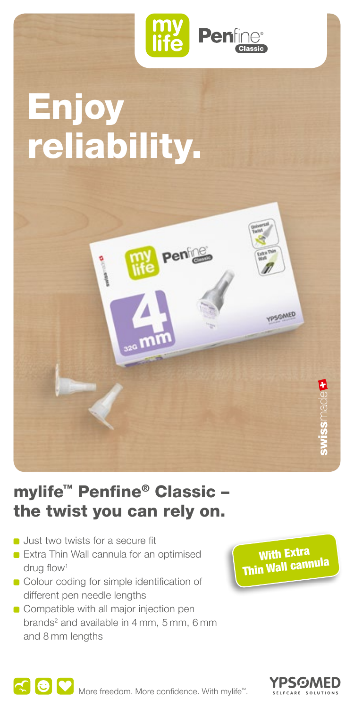

# Enjoy reliability.



### mylife™ Penfine® Classic – the twist you can rely on.

- **D** Just two twists for a secure fit
- **Extra Thin Wall cannula for an optimised** drug flow1
- Colour coding for simple identification of different pen needle lengths
- Compatible with all major injection pen brands<sup>2</sup> and available in 4 mm, 5 mm, 6 mm and 8 mm lengths

With Extra Thin Wall cannula



More freedom. More confidence. With mylife<sup>™</sup>.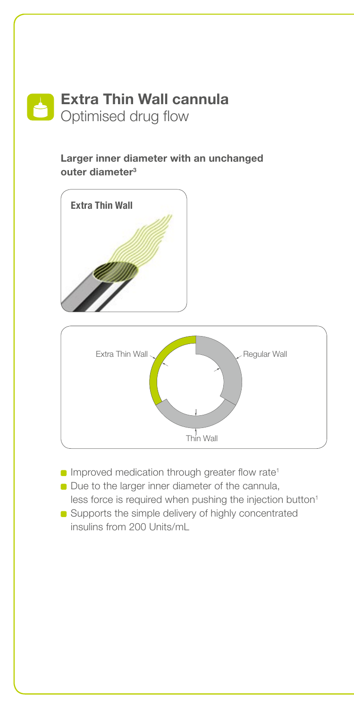

#### **Larger inner diameter with an unchanged outer diameter3**





- **Improved medication through greater flow rate<sup>1</sup>**
- Due to the larger inner diameter of the cannula, less force is required when pushing the injection button<sup>1</sup>
- Supports the simple delivery of highly concentrated insulins from 200 Units/mL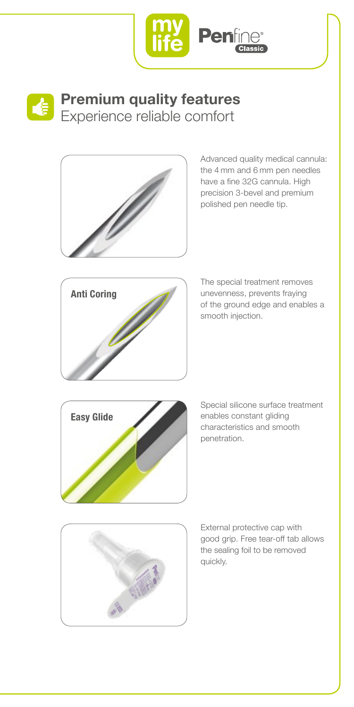



### **Premium quality features** Experience reliable comfort



Advanced quality medical cannula: the 4 mm and 6 mm pen needles have a fine 32G cannula. High precision 3-bevel and premium polished pen needle tip.



The special treatment removes unevenness, prevents fraying of the ground edge and enables a smooth injection.



Special silicone surface treatment enables constant gliding characteristics and smooth penetration.



External protective cap with good grip. Free tear-off tab allows the sealing foil to be removed quickly.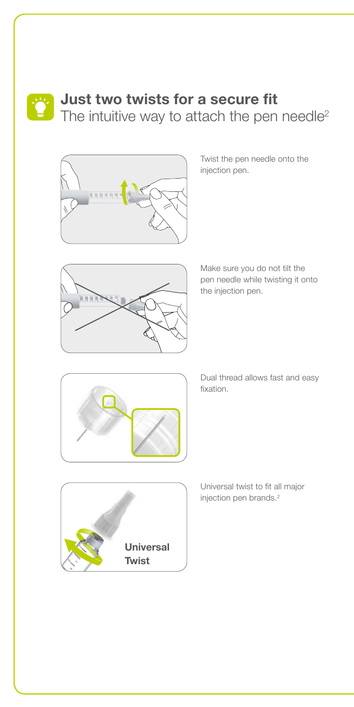

## **Just two twists for a secure fit**

The intuitive way to attach the pen needle<sup>2</sup>



Twist the pen needle onto the injection pen.



Make sure you do not tilt the pen needle while twisting it onto the injection pen.



Dual thread allows fast and easy fixation.



Universal twist to fit all major injection pen brands.2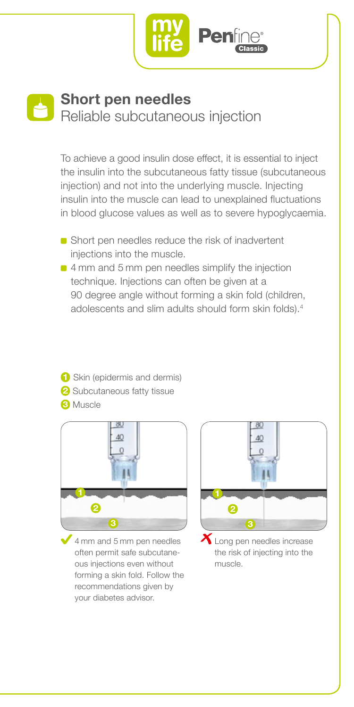

#### **Short pen needles** Reliable subcutaneous injection

To achieve a good insulin dose effect, it is essential to inject the insulin into the subcutaneous fatty tissue (subcutaneous injection) and not into the underlying muscle. Injecting insulin into the muscle can lead to unexplained fluctuations in blood glucose values as well as to severe hypoglycaemia.

- Short pen needles reduce the risk of inadvertent injections into the muscle.
- 4 mm and 5 mm pen needles simplify the injection technique. Injections can often be given at a 90 degree angle without forming a skin fold (children, adolescents and slim adults should form skin folds).4
- **1** Skin (epidermis and dermis) **2** Subcutaneous fatty tissue **3** Muscle



4 mm and 5 mm pen needles often permit safe subcutaneous injections even without forming a skin fold. Follow the recommendations given by your diabetes advisor.



Long pen needles increase the risk of injecting into the muscle.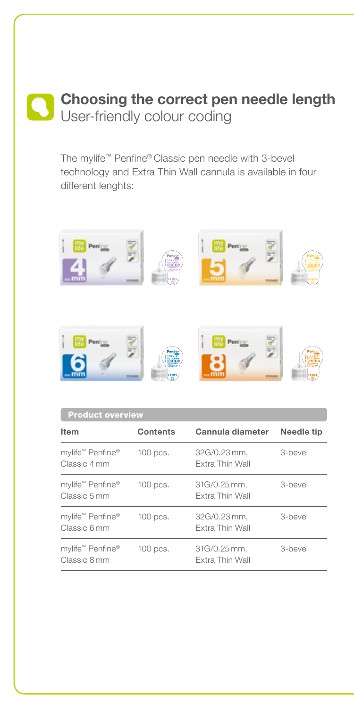### **Choosing the correct pen needle length**  User-friendly colour coding

The mylife™ Penfine® Classic pen needle with 3-bevel technology and Extra Thin Wall cannula is available in four different lenghts:



| <b>Product overview</b>                      |            |                                        |            |
|----------------------------------------------|------------|----------------------------------------|------------|
| Item                                         | Contents   | Cannula diameter                       | Needle tip |
| mylife™ Penfine®<br>Classic 4 mm             | $100$ pcs. | 32G/0.23 mm.<br><b>Extra Thin Wall</b> | 3-bevel    |
| mylife™ Penfine®<br>Classic 5 mm             | $100$ pcs. | 31G/0.25 mm.<br>Extra Thin Wall        | 3-bevel    |
| mylife <sup>™</sup> Penfine®<br>Classic 6 mm | $100$ pcs. | 32G/0.23 mm,<br>Extra Thin Wall        | 3-bevel    |
| mylife™ Penfine®<br>Classic 8 mm             | $100$ pcs. | 31G/0.25 mm.<br>Extra Thin Wall        | 3-bevel    |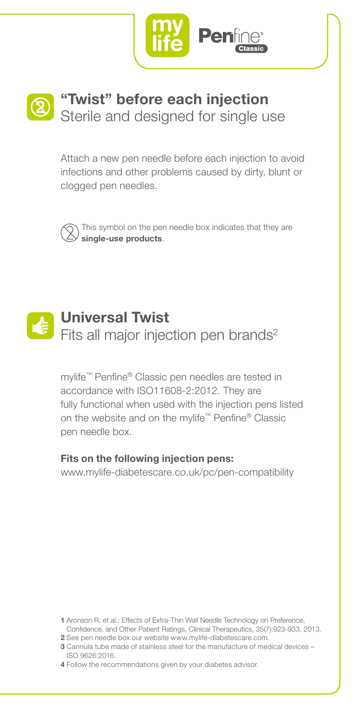



Attach a new pen needle before each injection to avoid infections and other problems caused by dirty, blunt or clogged pen needles.



This symbol on the pen needle box indicates that they are **single-use products**.



mylife™ Penfine® Classic pen needles are tested in accordance with ISO11608-2:2012. They are fully functional when used with the injection pens listed on the website and on the mylife™ Penfine® Classic pen needle box.

#### **Fits on the following injection pens:**

www.mylife-diabetescare.co.uk/pc/pen-compatibility

- **1** Aronson R. et al.: Effects of Extra-Thin Wall Needle Technology on Preference, Confidence, and Other Patient Ratings, Clinical Therapeutics, 35(7):923-933, 2013.
- **2** See pen needle box our website www.mylife-diabetescare.com.
- **3** Cannula tube made of stainless steel for the manufacture of medical devices ISO 9626:2016.
- **4** Follow the recommendations given by your diabetes advisor.